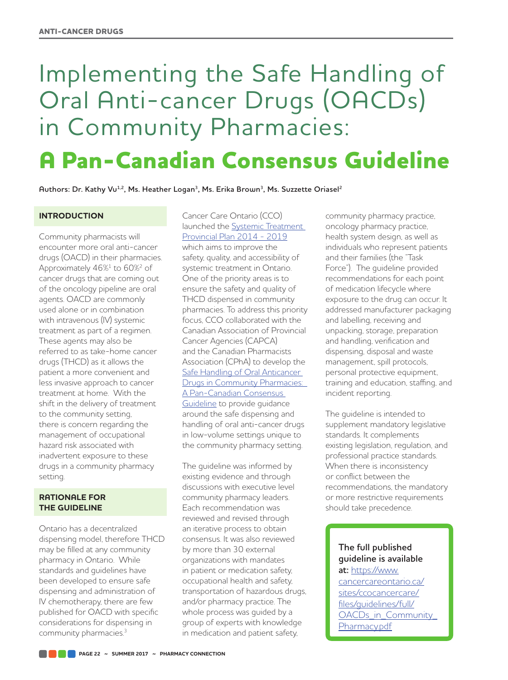# Implementing the Safe Handling of Oral Anti-cancer Drugs (OACDs) in Community Pharmacies:

**A Pan-Canadian Consensus Guideline**

Authors: Dr. Kathy Vu<sup>1,2</sup>, Ms. Heather Logan<sup>3</sup>, Ms. Erika Brown<sup>3</sup>, Ms. Suzzette Oriasel<sup>2</sup>

**INTRODUCTION**

Community pharmacists will encounter more oral anti-cancer drugs (OACD) in their pharmacies. Approximately 46%<sup>1</sup> to 60%<sup>2</sup> of cancer drugs that are coming out of the oncology pipeline are oral agents. OACD are commonly used alone or in combination with intravenous (IV) systemic treatment as part of a regimen. These agents may also be referred to as take-home cancer drugs (THCD) as it allows the patient a more convenient and less invasive approach to cancer treatment at home. With the shift in the delivery of treatment to the community setting, there is concern regarding the management of occupational hazard risk associated with inadvertent exposure to these drugs in a community pharmacy setting.

### **RATIONALE FOR THE GUIDELINE**

Ontario has a decentralized dispensing model, therefore THCD may be filled at any community pharmacy in Ontario. While standards and guidelines have been developed to ensure safe dispensing and administration of IV chemotherapy, there are few published for OACD with specific considerations for dispensing in community pharmacies.<sup>3</sup>

Cancer Care Ontario (CCO) launched the [Systemic Treatment](https://www.cancercare.on.ca/common/pages/UserFile.aspx?fileId=325326)  [Provincial Plan 2014 - 2019](https://www.cancercare.on.ca/common/pages/UserFile.aspx?fileId=325326) which aims to improve the safety, quality, and accessibility of systemic treatment in Ontario. One of the priority areas is to ensure the safety and quality of THCD dispensed in community pharmacies. To address this priority focus, CCO collaborated with the Canadian Association of Provincial Cancer Agencies (CAPCA) and the Canadian Pharmacists Association (CPhA) to develop the [Safe Handling of Oral Anticancer](https://www.cancercareontario.ca/sites/ccocancercare/files/guidelines/full/OACDs_in_Community_Pharmacy.pdf)  [Drugs in Community Pharmacies:](https://www.cancercareontario.ca/sites/ccocancercare/files/guidelines/full/OACDs_in_Community_Pharmacy.pdf)  [A Pan-Canadian Consensus](https://www.cancercareontario.ca/sites/ccocancercare/files/guidelines/full/OACDs_in_Community_Pharmacy.pdf)  [Guideline](https://www.cancercareontario.ca/sites/ccocancercare/files/guidelines/full/OACDs_in_Community_Pharmacy.pdf) to provide guidance around the safe dispensing and handling of oral anti-cancer drugs in low-volume settings unique to the community pharmacy setting.

The guideline was informed by existing evidence and through discussions with executive level community pharmacy leaders. Each recommendation was reviewed and revised through an iterative process to obtain consensus. It was also reviewed by more than 30 external organizations with mandates in patient or medication safety, occupational health and safety, transportation of hazardous drugs, and/or pharmacy practice. The whole process was guided by a group of experts with knowledge in medication and patient safety,

community pharmacy practice, oncology pharmacy practice, health system design, as well as individuals who represent patients and their families (the "Task Force"). The guideline provided recommendations for each point of medication lifecycle where exposure to the drug can occur. It addressed manufacturer packaging and labelling, receiving and unpacking, storage, preparation and handling, verification and dispensing, disposal and waste management, spill protocols, personal protective equipment, training and education, staffing, and incident reporting.

The guideline is intended to supplement mandatory legislative standards. It complements existing legislation, regulation, and professional practice standards. When there is inconsistency or conflict between the recommendations, the mandatory or more restrictive requirements should take precedence.

# **The full published guideline is available at:** [https://www.](https://www.cancercareontario.ca/sites/ccocancercare/files/guidelines/full/OACDs_in_Community_Pharmacy.pdf)

[cancercareontario.ca/](https://www.cancercareontario.ca/sites/ccocancercare/files/guidelines/full/OACDs_in_Community_Pharmacy.pdf) [sites/ccocancercare/](https://www.cancercareontario.ca/sites/ccocancercare/files/guidelines/full/OACDs_in_Community_Pharmacy.pdf) [files/guidelines/full/](https://www.cancercareontario.ca/sites/ccocancercare/files/guidelines/full/OACDs_in_Community_Pharmacy.pdf) [OACDs\\_in\\_Community\\_](https://www.cancercareontario.ca/sites/ccocancercare/files/guidelines/full/OACDs_in_Community_Pharmacy.pdf) [Pharmacy.pdf](https://www.cancercareontario.ca/sites/ccocancercare/files/guidelines/full/OACDs_in_Community_Pharmacy.pdf)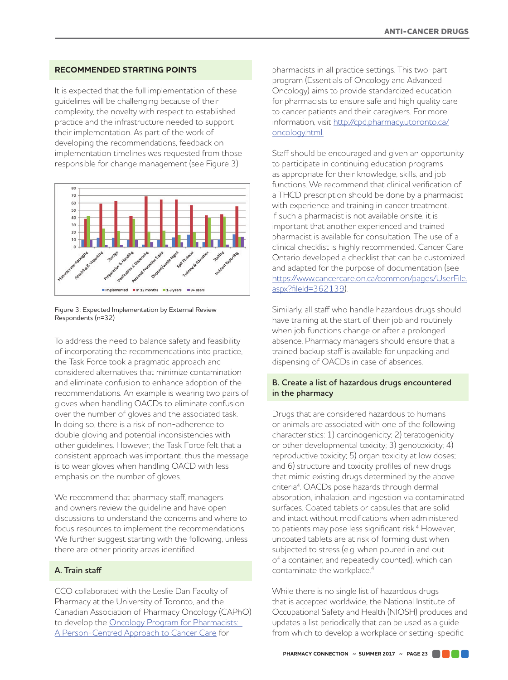## **RECOMMENDED STARTING POINTS**

It is expected that the full implementation of these guidelines will be challenging because of their complexity, the novelty with respect to established practice and the infrastructure needed to support their implementation. As part of the work of developing the recommendations, feedback on implementation timelines was requested from those responsible for change management (see Figure 3).



Figure 3: Expected Implementation by External Review Respondents (n=32)

To address the need to balance safety and feasibility of incorporating the recommendations into practice, the Task Force took a pragmatic approach and considered alternatives that minimize contamination and eliminate confusion to enhance adoption of the recommendations. An example is wearing two pairs of gloves when handling OACDs to eliminate confusion over the number of gloves and the associated task. In doing so, there is a risk of non-adherence to double gloving and potential inconsistencies with other guidelines. However, the Task Force felt that a consistent approach was important, thus the message is to wear gloves when handling OACD with less emphasis on the number of gloves.

We recommend that pharmacy staff, managers and owners review the guideline and have open discussions to understand the concerns and where to focus resources to implement the recommendations. We further suggest starting with the following, unless there are other priority areas identified.

### **A. Train staff**

CCO collaborated with the Leslie Dan Faculty of Pharmacy at the University of Toronto, and the Canadian Association of Pharmacy Oncology (CAPhO) to develop the Oncology Program for Pharmacists: [A Person-Centred Approach to Cancer Care](http://cpd.pharmacy.utoronto.ca/oncology.html) for

pharmacists in all practice settings. This two-part program (Essentials of Oncology and Advanced Oncology) aims to provide standardized education for pharmacists to ensure safe and high quality care to cancer patients and their caregivers. For more information, visit [http://cpd.pharmacy.utoronto.ca/](http://cpd.pharmacy.utoronto.ca/oncology.html) [oncology.html.](http://cpd.pharmacy.utoronto.ca/oncology.html)

Staff should be encouraged and given an opportunity to participate in continuing education programs as appropriate for their knowledge, skills, and job functions. We recommend that clinical verification of a THCD prescription should be done by a pharmacist with experience and training in cancer treatment. If such a pharmacist is not available onsite, it is important that another experienced and trained pharmacist is available for consultation. The use of a clinical checklist is highly recommended. Cancer Care Ontario developed a checklist that can be customized and adapted for the purpose of documentation (see [https://www.cancercare.on.ca/common/pages/UserFile.](https://www.cancercare.on.ca/common/pages/UserFile.aspx?fileId=362139) [aspx?fileId=362139\)](https://www.cancercare.on.ca/common/pages/UserFile.aspx?fileId=362139).

Similarly, all staff who handle hazardous drugs should have training at the start of their job and routinely when job functions change or after a prolonged absence. Pharmacy managers should ensure that a trained backup staff is available for unpacking and dispensing of OACDs in case of absences.

#### **B. Create a list of hazardous drugs encountered in the pharmacy**

Drugs that are considered hazardous to humans or animals are associated with one of the following characteristics: 1) carcinogenicity; 2) teratogenicity or other developmental toxicity; 3) genotoxicity; 4) reproductive toxicity; 5) organ toxicity at low doses; and 6) structure and toxicity profiles of new drugs that mimic existing drugs determined by the above criteria4. OACDs pose hazards through dermal absorption, inhalation, and ingestion via contaminated surfaces. Coated tablets or capsules that are solid and intact without modifications when administered to patients may pose less significant risk.<sup>4</sup> However, uncoated tablets are at risk of forming dust when subjected to stress (e.g. when poured in and out of a container, and repeatedly counted), which can contaminate the workplace.<sup>4</sup>

While there is no single list of hazardous drugs that is accepted worldwide, the National Institute of Occupational Safety and Health (NIOSH) produces and updates a list periodically that can be used as a guide from which to develop a workplace or setting-specific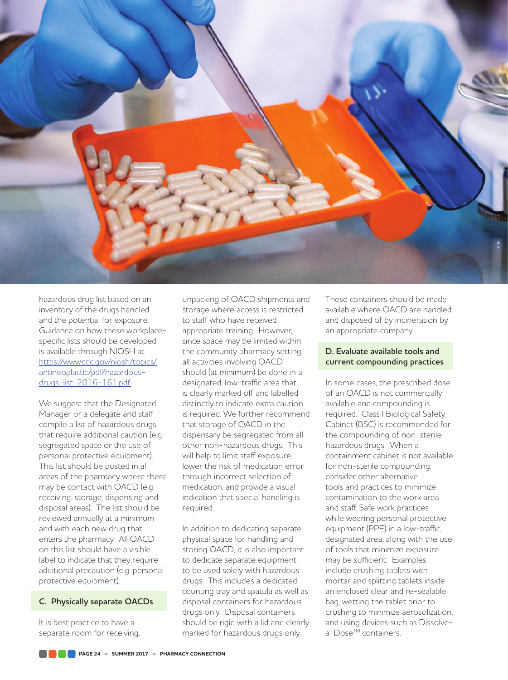

hazardous drug list based on an inventory of the drugs handled and the potential for exposure. Guidance on how these workplacespecific lists should be developed is available through NIOSH at [https://www.cdc.gov/niosh/topics/](https://www.cdc.gov/niosh/topics/antineoplastic/pdf/hazardous-drugs-list_2016-161.pdf) [antineoplastic/pdf/hazardous](https://www.cdc.gov/niosh/topics/antineoplastic/pdf/hazardous-drugs-list_2016-161.pdf)[drugs-list\\_2016-161.pdf.](https://www.cdc.gov/niosh/topics/antineoplastic/pdf/hazardous-drugs-list_2016-161.pdf)

We suggest that the Designated Manager or a delegate and staff compile a list of hazardous drugs that require additional caution (e.g. segregated space or the use of personal protective equipment). This list should be posted in all areas of the pharmacy where there may be contact with OACD (e.g. receiving, storage, dispensing and disposal areas). The list should be reviewed annually at a minimum and with each new drug that enters the pharmacy. All OACD on this list should have a visible label to indicate that they require additional precaution (e.g. personal protective equipment).

### **C. Physically separate OACDs**

It is best practice to have a separate room for receiving, unpacking of OACD shipments and storage where access is restricted to staff who have received appropriate training. However, since space may be limited within the community pharmacy setting, all activities involving OACD should (at minimum) be done in a designated, low-traffic area that is clearly marked off and labelled distinctly to indicate extra caution is required. We further recommend that storage of OACD in the dispensary be segregated from all other non-hazardous drugs. This will help to limit staff exposure, lower the risk of medication error through incorrect selection of medication, and provide a visual indication that special handling is required.

In addition to dedicating separate physical space for handling and storing OACD, it is also important to dedicate separate equipment to be used solely with hazardous drugs. This includes a dedicated counting tray and spatula as well as disposal containers for hazardous drugs only. Disposal containers should be rigid with a lid and clearly marked for hazardous drugs only.

These containers should be made available where OACD are handled and disposed of by incineration by an appropriate company.

#### **D. Evaluate available tools and current compounding practices**

In some cases, the prescribed dose of an OACD is not commercially available and compounding is required. Class I Biological Safety Cabinet (BSC) is recommended for the compounding of non-sterile hazardous drugs. When a containment cabinet is not available for non-sterile compounding, consider other alternative tools and practices to minimize contamination to the work area and staff. Safe work practices while wearing personal protective equipment (PPE) in a low-traffic, designated area, along with the use of tools that minimize exposure may be sufficient. Examples include crushing tablets with mortar and splitting tablets inside an enclosed clear and re-sealable bag, wetting the tablet prior to crushing to minimize aerosolization, and using devices such as Dissolvea-Dose™ containers.